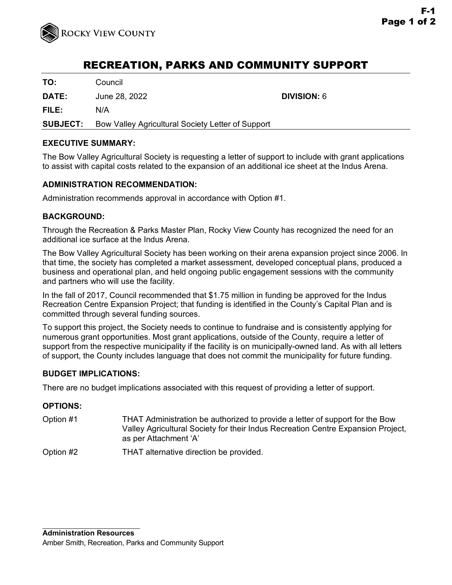

# RECREATION, PARKS AND COMMUNITY SUPPORT

**TO:** Council

**DATE:** June 28, 2022 **DIVISION:** 6

**FILE:** N/A

**SUBJECT:** Bow Valley Agricultural Society Letter of Support

### **EXECUTIVE SUMMARY:**

The Bow Valley Agricultural Society is requesting a letter of support to include with grant applications to assist with capital costs related to the expansion of an additional ice sheet at the Indus Arena.

### **ADMINISTRATION RECOMMENDATION:**

Administration recommends approval in accordance with Option #1.

### **BACKGROUND:**

Through the Recreation & Parks Master Plan, Rocky View County has recognized the need for an additional ice surface at the Indus Arena.

The Bow Valley Agricultural Society has been working on their arena expansion project since 2006. In that time, the society has completed a market assessment, developed conceptual plans, produced a business and operational plan, and held ongoing public engagement sessions with the community and partners who will use the facility.

In the fall of 2017, Council recommended that \$1.75 million in funding be approved for the Indus Recreation Centre Expansion Project; that funding is identified in the County's Capital Plan and is committed through several funding sources.

To support this project, the Society needs to continue to fundraise and is consistently applying for numerous grant opportunities. Most grant applications, outside of the County, require a letter of support from the respective municipality if the facility is on municipally-owned land. As with all letters of support, the County includes language that does not commit the municipality for future funding.

### **BUDGET IMPLICATIONS:**

There are no budget implications associated with this request of providing a letter of support.

### **OPTIONS:**

Option #1 THAT Administration be authorized to provide a letter of support for the Bow Valley Agricultural Society for their Indus Recreation Centre Expansion Project, as per Attachment 'A'

Option #2 THAT alternative direction be provided.